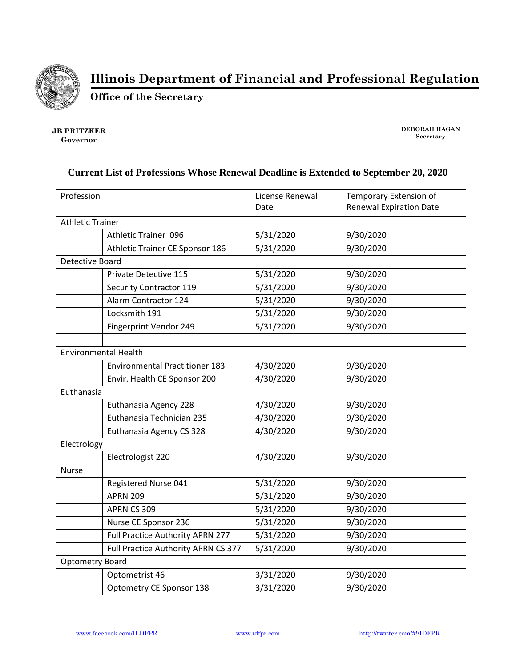

**Illinois Department of Financial and Professional Regulation**

**Office of the Secretary**

**JB PRITZKER Governor**

**DEBORAH HAGAN Secretary**

## **Current List of Professions Whose Renewal Deadline is Extended to September 20, 2020**

| Profession                  |                                       | License Renewal<br>Date | Temporary Extension of<br><b>Renewal Expiration Date</b> |
|-----------------------------|---------------------------------------|-------------------------|----------------------------------------------------------|
| <b>Athletic Trainer</b>     |                                       |                         |                                                          |
|                             | <b>Athletic Trainer 096</b>           | 5/31/2020               | 9/30/2020                                                |
|                             | Athletic Trainer CE Sponsor 186       | 5/31/2020               | 9/30/2020                                                |
| Detective Board             |                                       |                         |                                                          |
|                             | Private Detective 115                 | 5/31/2020               | 9/30/2020                                                |
|                             | <b>Security Contractor 119</b>        | 5/31/2020               | 9/30/2020                                                |
|                             | Alarm Contractor 124                  | 5/31/2020               | 9/30/2020                                                |
|                             | Locksmith 191                         | 5/31/2020               | 9/30/2020                                                |
|                             | Fingerprint Vendor 249                | 5/31/2020               | 9/30/2020                                                |
|                             |                                       |                         |                                                          |
| <b>Environmental Health</b> |                                       |                         |                                                          |
|                             | <b>Environmental Practitioner 183</b> | 4/30/2020               | 9/30/2020                                                |
|                             | Envir. Health CE Sponsor 200          | 4/30/2020               | 9/30/2020                                                |
| Euthanasia                  |                                       |                         |                                                          |
|                             | Euthanasia Agency 228                 | 4/30/2020               | 9/30/2020                                                |
|                             | Euthanasia Technician 235             | 4/30/2020               | 9/30/2020                                                |
|                             | Euthanasia Agency CS 328              | 4/30/2020               | 9/30/2020                                                |
| Electrology                 |                                       |                         |                                                          |
|                             | Electrologist 220                     | 4/30/2020               | 9/30/2020                                                |
| <b>Nurse</b>                |                                       |                         |                                                          |
|                             | Registered Nurse 041                  | 5/31/2020               | 9/30/2020                                                |
|                             | <b>APRN 209</b>                       | 5/31/2020               | 9/30/2020                                                |
|                             | APRN CS 309                           | 5/31/2020               | 9/30/2020                                                |
|                             | Nurse CE Sponsor 236                  | 5/31/2020               | 9/30/2020                                                |
|                             | Full Practice Authority APRN 277      | 5/31/2020               | 9/30/2020                                                |
|                             | Full Practice Authority APRN CS 377   | 5/31/2020               | 9/30/2020                                                |
| <b>Optometry Board</b>      |                                       |                         |                                                          |
|                             | Optometrist 46                        | 3/31/2020               | 9/30/2020                                                |
|                             | Optometry CE Sponsor 138              | 3/31/2020               | 9/30/2020                                                |